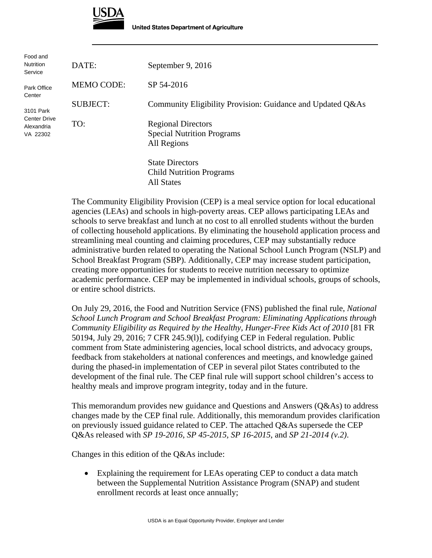

| Food and<br><b>Nutrition</b><br>Service                    | DATE:             | September 9, 2016                                                              |
|------------------------------------------------------------|-------------------|--------------------------------------------------------------------------------|
| Park Office<br>Center                                      | <b>MEMO CODE:</b> | SP 54-2016                                                                     |
| 3101 Park<br><b>Center Drive</b><br>Alexandria<br>VA 22302 | <b>SUBJECT:</b>   | Community Eligibility Provision: Guidance and Updated Q&As                     |
|                                                            | TO:               | <b>Regional Directors</b><br><b>Special Nutrition Programs</b><br>All Regions  |
|                                                            |                   | <b>State Directors</b><br><b>Child Nutrition Programs</b><br><b>All States</b> |

The Community Eligibility Provision (CEP) is a meal service option for local educational agencies (LEAs) and schools in high-poverty areas. CEP allows participating LEAs and schools to serve breakfast and lunch at no cost to all enrolled students without the burden of collecting household applications. By eliminating the household application process and streamlining meal counting and claiming procedures, CEP may substantially reduce administrative burden related to operating the National School Lunch Program (NSLP) and School Breakfast Program (SBP). Additionally, CEP may increase student participation, creating more opportunities for students to receive nutrition necessary to optimize academic performance. CEP may be implemented in individual schools, groups of schools, or entire school districts.

On July 29, 2016, the Food and Nutrition Service (FNS) published the final rule, *National School Lunch Program and School Breakfast Program: Eliminating Applications through Community Eligibility as Required by the Healthy, Hunger-Free Kids Act of 2010* [81 FR 50194, July 29, 2016; 7 CFR 245.9(l)], codifying CEP in Federal regulation. Public comment from State administering agencies, local school districts, and advocacy groups, feedback from stakeholders at national conferences and meetings, and knowledge gained during the phased-in implementation of CEP in several pilot States contributed to the development of the final rule. The CEP final rule will support school children's access to healthy meals and improve program integrity, today and in the future.

This memorandum provides new guidance and Questions and Answers (Q&As) to address changes made by the CEP final rule. Additionally, this memorandum provides clarification on previously issued guidance related to CEP. The attached Q&As supersede the CEP Q&As released with *SP 19-2016*, *SP 45-2015, SP 16-2015*, and *SP 21-2014 (v.2)*.

Changes in this edition of the Q&As include:

 Explaining the requirement for LEAs operating CEP to conduct a data match between the Supplemental Nutrition Assistance Program (SNAP) and student enrollment records at least once annually;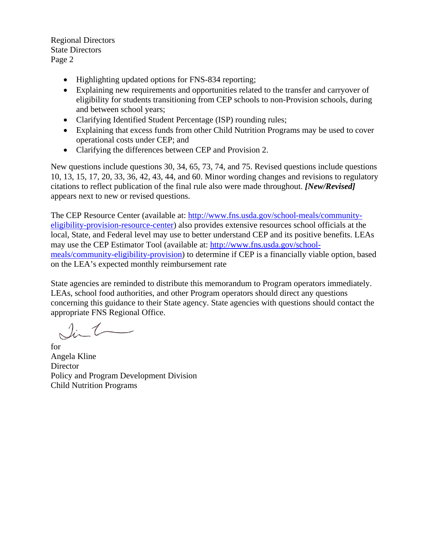Regional Directors State Directors Page 2

- Highlighting updated options for FNS-834 reporting;
- Explaining new requirements and opportunities related to the transfer and carryover of eligibility for students transitioning from CEP schools to non-Provision schools, during and between school years;
- Clarifying Identified Student Percentage (ISP) rounding rules;
- Explaining that excess funds from other Child Nutrition Programs may be used to cover operational costs under CEP; and
- Clarifying the differences between CEP and Provision 2.

New questions include questions 30, 34, 65, 73, 74, and 75. Revised questions include questions 10, 13, 15, 17, 20, 33, 36, 42, 43, 44, and 60. Minor wording changes and revisions to regulatory citations to reflect publication of the final rule also were made throughout. *[New/Revised]* appears next to new or revised questions.

The CEP Resource Center (available at: http://www.fns.usda.gov/school-meals/communityeligibility-provision-resource-center) also provides extensive resources school officials at the local, State, and Federal level may use to better understand CEP and its positive benefits. LEAs may use the CEP Estimator Tool (available at: http://www.fns.usda.gov/schoolmeals/community-eligibility-provision) to determine if CEP is a financially viable option, based on the LEA's expected monthly reimbursement rate

State agencies are reminded to distribute this memorandum to Program operators immediately. LEAs, school food authorities, and other Program operators should direct any questions concerning this guidance to their State agency. State agencies with questions should contact the appropriate FNS Regional Office.

for Angela Kline **Director** Policy and Program Development Division Child Nutrition Programs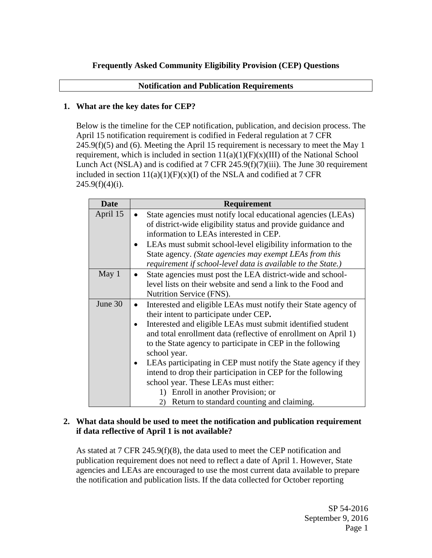# **Frequently Asked Community Eligibility Provision (CEP) Questions**

## **Notification and Publication Requirements**

# **1. What are the key dates for CEP?**

Below is the timeline for the CEP notification, publication, and decision process. The April 15 notification requirement is codified in Federal regulation at 7 CFR 245.9(f)(5) and (6). Meeting the April 15 requirement is necessary to meet the May 1 requirement, which is included in section  $11(a)(1)(F)(x)(III)$  of the National School Lunch Act (NSLA) and is codified at 7 CFR 245.9(f)(7)(iii). The June 30 requirement included in section  $11(a)(1)(F)(x)(I)$  of the NSLA and codified at 7 CFR  $245.9(f)(4)(i)$ .

| <b>Date</b> | <b>Requirement</b>                                                          |  |  |
|-------------|-----------------------------------------------------------------------------|--|--|
| April 15    | State agencies must notify local educational agencies (LEAs)                |  |  |
|             | of district-wide eligibility status and provide guidance and                |  |  |
|             | information to LEAs interested in CEP.                                      |  |  |
|             | LEAs must submit school-level eligibility information to the                |  |  |
|             | State agency. (State agencies may exempt LEAs from this                     |  |  |
|             | requirement if school-level data is available to the State.)                |  |  |
| May 1       | State agencies must post the LEA district-wide and school-                  |  |  |
|             | level lists on their website and send a link to the Food and                |  |  |
|             | Nutrition Service (FNS).                                                    |  |  |
| June 30     | Interested and eligible LEAs must notify their State agency of<br>$\bullet$ |  |  |
|             | their intent to participate under CEP.                                      |  |  |
|             | Interested and eligible LEAs must submit identified student                 |  |  |
|             | and total enrollment data (reflective of enrollment on April 1)             |  |  |
|             | to the State agency to participate in CEP in the following                  |  |  |
|             | school year.                                                                |  |  |
|             | LEAs participating in CEP must notify the State agency if they              |  |  |
|             | intend to drop their participation in CEP for the following                 |  |  |
|             | school year. These LEAs must either:                                        |  |  |
|             | Enroll in another Provision; or<br>1)                                       |  |  |
|             | Return to standard counting and claiming.<br>2)                             |  |  |

# **2. What data should be used to meet the notification and publication requirement if data reflective of April 1 is not available?**

As stated at 7 CFR 245.9(f)(8), the data used to meet the CEP notification and publication requirement does not need to reflect a date of April 1. However, State agencies and LEAs are encouraged to use the most current data available to prepare the notification and publication lists. If the data collected for October reporting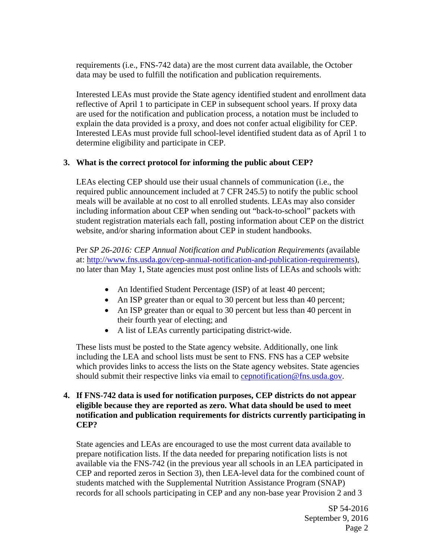requirements (i.e., FNS-742 data) are the most current data available, the October data may be used to fulfill the notification and publication requirements.

Interested LEAs must provide the State agency identified student and enrollment data reflective of April 1 to participate in CEP in subsequent school years. If proxy data are used for the notification and publication process, a notation must be included to explain the data provided is a proxy, and does not confer actual eligibility for CEP. Interested LEAs must provide full school-level identified student data as of April 1 to determine eligibility and participate in CEP.

## **3. What is the correct protocol for informing the public about CEP?**

LEAs electing CEP should use their usual channels of communication (i.e., the required public announcement included at 7 CFR 245.5) to notify the public school meals will be available at no cost to all enrolled students. LEAs may also consider including information about CEP when sending out "back-to-school" packets with student registration materials each fall, posting information about CEP on the district website, and/or sharing information about CEP in student handbooks.

Per *SP 26-2016: CEP Annual Notification and Publication Requirements* (available at: http://www.fns.usda.gov/cep-annual-notification-and-publication-requirements), no later than May 1, State agencies must post online lists of LEAs and schools with:

- An Identified Student Percentage (ISP) of at least 40 percent;
- An ISP greater than or equal to 30 percent but less than 40 percent;
- An ISP greater than or equal to 30 percent but less than 40 percent in their fourth year of electing; and
- A list of LEAs currently participating district-wide.

These lists must be posted to the State agency website. Additionally, one link including the LEA and school lists must be sent to FNS. FNS has a CEP website which provides links to access the lists on the State agency websites. State agencies should submit their respective links via email to cepnotification@fns.usda.gov.

# **4. If FNS-742 data is used for notification purposes, CEP districts do not appear eligible because they are reported as zero. What data should be used to meet notification and publication requirements for districts currently participating in CEP?**

State agencies and LEAs are encouraged to use the most current data available to prepare notification lists. If the data needed for preparing notification lists is not available via the FNS-742 (in the previous year all schools in an LEA participated in CEP and reported zeros in Section 3), then LEA-level data for the combined count of students matched with the Supplemental Nutrition Assistance Program (SNAP) records for all schools participating in CEP and any non-base year Provision 2 and 3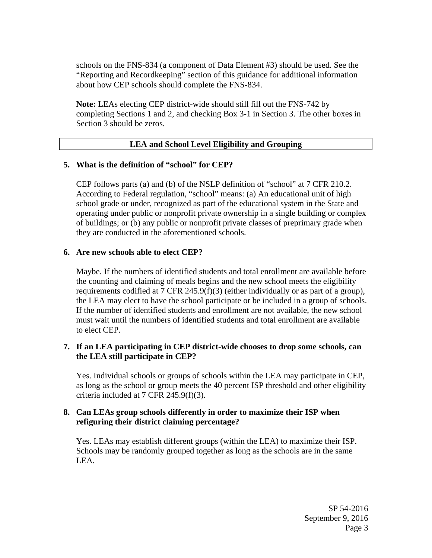schools on the FNS-834 (a component of Data Element #3) should be used. See the "Reporting and Recordkeeping" section of this guidance for additional information about how CEP schools should complete the FNS-834.

**Note:** LEAs electing CEP district-wide should still fill out the FNS-742 by completing Sections 1 and 2, and checking Box 3-1 in Section 3. The other boxes in Section 3 should be zeros.

# **LEA and School Level Eligibility and Grouping**

### **5. What is the definition of "school" for CEP?**

CEP follows parts (a) and (b) of the NSLP definition of "school" at 7 CFR 210.2. According to Federal regulation, "school" means: (a) An educational unit of high school grade or under, recognized as part of the educational system in the State and operating under public or nonprofit private ownership in a single building or complex of buildings; or (b) any public or nonprofit private classes of preprimary grade when they are conducted in the aforementioned schools.

## **6. Are new schools able to elect CEP?**

Maybe. If the numbers of identified students and total enrollment are available before the counting and claiming of meals begins and the new school meets the eligibility requirements codified at 7 CFR 245.9(f)(3) (either individually or as part of a group), the LEA may elect to have the school participate or be included in a group of schools. If the number of identified students and enrollment are not available, the new school must wait until the numbers of identified students and total enrollment are available to elect CEP.

# **7. If an LEA participating in CEP district-wide chooses to drop some schools, can the LEA still participate in CEP?**

Yes. Individual schools or groups of schools within the LEA may participate in CEP, as long as the school or group meets the 40 percent ISP threshold and other eligibility criteria included at 7 CFR 245.9(f)(3).

## **8. Can LEAs group schools differently in order to maximize their ISP when refiguring their district claiming percentage?**

Yes. LEAs may establish different groups (within the LEA) to maximize their ISP. Schools may be randomly grouped together as long as the schools are in the same LEA.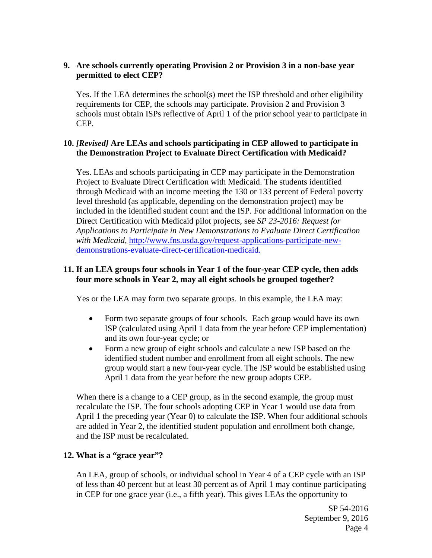# **9. Are schools currently operating Provision 2 or Provision 3 in a non-base year permitted to elect CEP?**

Yes. If the LEA determines the school(s) meet the ISP threshold and other eligibility requirements for CEP, the schools may participate. Provision 2 and Provision 3 schools must obtain ISPs reflective of April 1 of the prior school year to participate in CEP.

# **10.** *[Revised]* **Are LEAs and schools participating in CEP allowed to participate in the Demonstration Project to Evaluate Direct Certification with Medicaid?**

Yes. LEAs and schools participating in CEP may participate in the Demonstration Project to Evaluate Direct Certification with Medicaid. The students identified through Medicaid with an income meeting the 130 or 133 percent of Federal poverty level threshold (as applicable, depending on the demonstration project) may be included in the identified student count and the ISP. For additional information on the Direct Certification with Medicaid pilot projects, see *SP 23-2016: Request for Applications to Participate in New Demonstrations to Evaluate Direct Certification with Medicaid,* http://www.fns.usda.gov/request-applications-participate-newdemonstrations-evaluate-direct-certification-medicaid.

# **11. If an LEA groups four schools in Year 1 of the four-year CEP cycle, then adds four more schools in Year 2, may all eight schools be grouped together?**

Yes or the LEA may form two separate groups. In this example, the LEA may:

- Form two separate groups of four schools. Each group would have its own ISP (calculated using April 1 data from the year before CEP implementation) and its own four-year cycle; or
- Form a new group of eight schools and calculate a new ISP based on the identified student number and enrollment from all eight schools. The new group would start a new four-year cycle. The ISP would be established using April 1 data from the year before the new group adopts CEP.

When there is a change to a CEP group, as in the second example, the group must recalculate the ISP. The four schools adopting CEP in Year 1 would use data from April 1 the preceding year (Year 0) to calculate the ISP. When four additional schools are added in Year 2, the identified student population and enrollment both change, and the ISP must be recalculated.

# **12. What is a "grace year"?**

An LEA, group of schools, or individual school in Year 4 of a CEP cycle with an ISP of less than 40 percent but at least 30 percent as of April 1 may continue participating in CEP for one grace year (i.e., a fifth year). This gives LEAs the opportunity to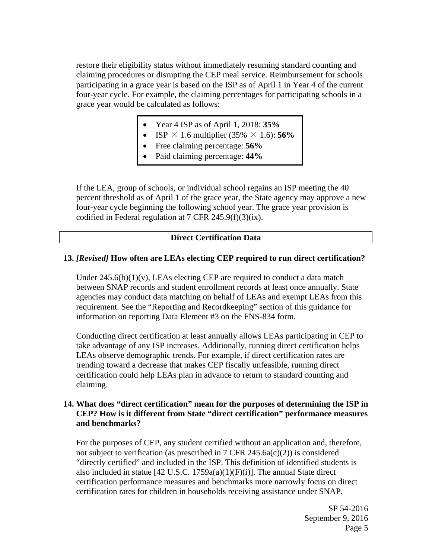restore their eligibility status without immediately resuming standard counting and claiming procedures or disrupting the CEP meal service. Reimbursement for schools participating in a grace year is based on the ISP as of April 1 in Year 4 of the current four-year cycle. For example, the claiming percentages for participating schools in a grace year would be calculated as follows:

- Year 4 ISP as of April 1, 2018: **35%**
- ISP  $\times$  1.6 multiplier (35%  $\times$  1.6): **56%**
- Free claiming percentage: **56%**
- Paid claiming percentage: **44%**

If the LEA, group of schools, or individual school regains an ISP meeting the 40 percent threshold as of April 1 of the grace year, the State agency may approve a new four-year cycle beginning the following school year. The grace year provision is codified in Federal regulation at 7 CFR  $245.9(f)(3)(ix)$ .

### **Direct Certification Data**

### **13.** *[Revised]* **How often are LEAs electing CEP required to run direct certification?**

Under  $245.6(b)(1)(v)$ , LEAs electing CEP are required to conduct a data match between SNAP records and student enrollment records at least once annually. State agencies may conduct data matching on behalf of LEAs and exempt LEAs from this requirement. See the "Reporting and Recordkeeping" section of this guidance for information on reporting Data Element #3 on the FNS-834 form.

Conducting direct certification at least annually allows LEAs participating in CEP to take advantage of any ISP increases. Additionally, running direct certification helps LEAs observe demographic trends. For example, if direct certification rates are trending toward a decrease that makes CEP fiscally unfeasible, running direct certification could help LEAs plan in advance to return to standard counting and claiming.

### **14. What does "direct certification" mean for the purposes of determining the ISP in CEP? How is it different from State "direct certification" performance measures and benchmarks?**

For the purposes of CEP, any student certified without an application and, therefore, not subject to verification (as prescribed in  $7 \text{ CFR } 245.6a(c)(2)$ ) is considered "directly certified" and included in the ISP. This definition of identified students is also included in statue [42 U.S.C. 1759a(a)(1)(F)(i)]. The annual State direct certification performance measures and benchmarks more narrowly focus on direct certification rates for children in households receiving assistance under SNAP.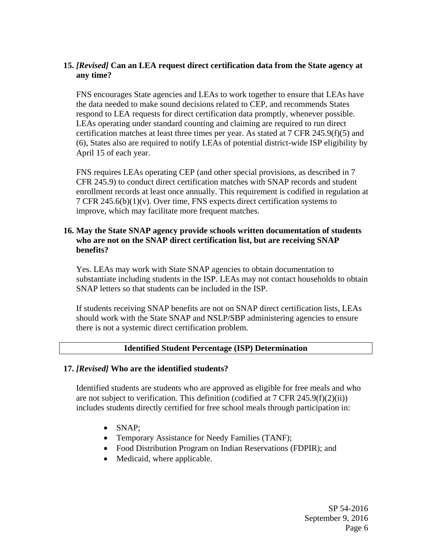# **15.** *[Revised]* **Can an LEA request direct certification data from the State agency at any time?**

FNS encourages State agencies and LEAs to work together to ensure that LEAs have the data needed to make sound decisions related to CEP, and recommends States respond to LEA requests for direct certification data promptly, whenever possible. LEAs operating under standard counting and claiming are required to run direct certification matches at least three times per year. As stated at 7 CFR 245.9(f)(5) and (6), States also are required to notify LEAs of potential district-wide ISP eligibility by April 15 of each year.

FNS requires LEAs operating CEP (and other special provisions, as described in 7 CFR 245.9) to conduct direct certification matches with SNAP records and student enrollment records at least once annually. This requirement is codified in regulation at 7 CFR  $245.6(b)(1)(v)$ . Over time, FNS expects direct certification systems to improve, which may facilitate more frequent matches.

## **16. May the State SNAP agency provide schools written documentation of students who are not on the SNAP direct certification list, but are receiving SNAP benefits?**

Yes. LEAs may work with State SNAP agencies to obtain documentation to substantiate including students in the ISP. LEAs may not contact households to obtain SNAP letters so that students can be included in the ISP.

If students receiving SNAP benefits are not on SNAP direct certification lists, LEAs should work with the State SNAP and NSLP/SBP administering agencies to ensure there is not a systemic direct certification problem.

# **Identified Student Percentage (ISP) Determination**

### **17.** *[Revised]* **Who are the identified students?**

Identified students are students who are approved as eligible for free meals and who are not subject to verification. This definition (codified at 7 CFR 245.9(f)(2)(ii)) includes students directly certified for free school meals through participation in:

- SNAP;
- Temporary Assistance for Needy Families (TANF);
- Food Distribution Program on Indian Reservations (FDPIR); and
- Medicaid, where applicable.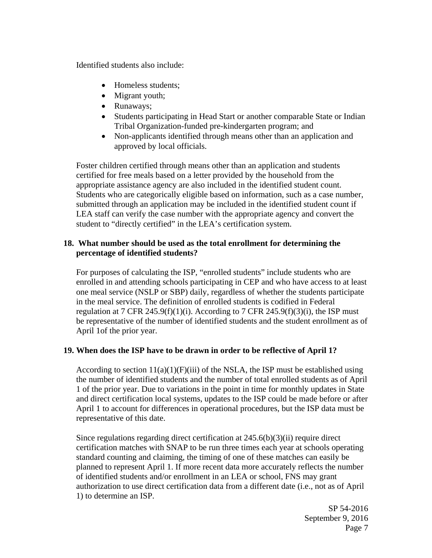Identified students also include:

- Homeless students;
- Migrant youth;
- Runaways;
- Students participating in Head Start or another comparable State or Indian Tribal Organization-funded pre-kindergarten program; and
- Non-applicants identified through means other than an application and approved by local officials.

Foster children certified through means other than an application and students certified for free meals based on a letter provided by the household from the appropriate assistance agency are also included in the identified student count. Students who are categorically eligible based on information, such as a case number, submitted through an application may be included in the identified student count if LEA staff can verify the case number with the appropriate agency and convert the student to "directly certified" in the LEA's certification system.

# **18. What number should be used as the total enrollment for determining the percentage of identified students?**

For purposes of calculating the ISP, "enrolled students" include students who are enrolled in and attending schools participating in CEP and who have access to at least one meal service (NSLP or SBP) daily, regardless of whether the students participate in the meal service. The definition of enrolled students is codified in Federal regulation at 7 CFR 245.9(f)(1)(i). According to 7 CFR 245.9(f)(3)(i), the ISP must be representative of the number of identified students and the student enrollment as of April 1of the prior year.

# **19. When does the ISP have to be drawn in order to be reflective of April 1?**

According to section  $11(a)(1)(F)(iii)$  of the NSLA, the ISP must be established using the number of identified students and the number of total enrolled students as of April 1 of the prior year. Due to variations in the point in time for monthly updates in State and direct certification local systems, updates to the ISP could be made before or after April 1 to account for differences in operational procedures, but the ISP data must be representative of this date.

Since regulations regarding direct certification at 245.6(b)(3)(ii) require direct certification matches with SNAP to be run three times each year at schools operating standard counting and claiming, the timing of one of these matches can easily be planned to represent April 1. If more recent data more accurately reflects the number of identified students and/or enrollment in an LEA or school, FNS may grant authorization to use direct certification data from a different date (i.e., not as of April 1) to determine an ISP.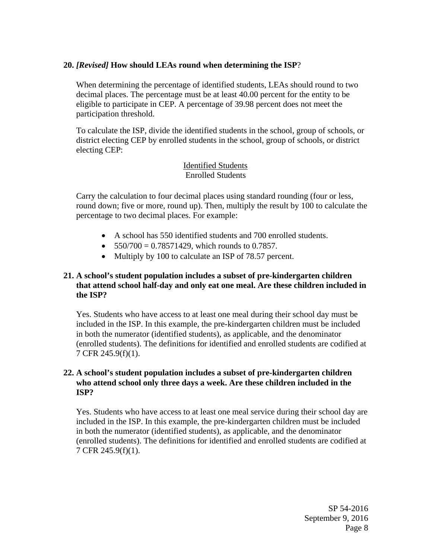# **20.** *[Revised]* **How should LEAs round when determining the ISP**?

When determining the percentage of identified students, LEAs should round to two decimal places. The percentage must be at least 40.00 percent for the entity to be eligible to participate in CEP. A percentage of 39.98 percent does not meet the participation threshold.

To calculate the ISP, divide the identified students in the school, group of schools, or district electing CEP by enrolled students in the school, group of schools, or district electing CEP:

## Identified Students Enrolled Students

Carry the calculation to four decimal places using standard rounding (four or less, round down; five or more, round up). Then, multiply the result by 100 to calculate the percentage to two decimal places. For example:

- A school has 550 identified students and 700 enrolled students.
- $\bullet$  550/700 = 0.78571429, which rounds to 0.7857.
- Multiply by 100 to calculate an ISP of 78.57 percent.

# **21. A school's student population includes a subset of pre-kindergarten children that attend school half-day and only eat one meal. Are these children included in the ISP?**

Yes. Students who have access to at least one meal during their school day must be included in the ISP. In this example, the pre-kindergarten children must be included in both the numerator (identified students), as applicable, and the denominator (enrolled students). The definitions for identified and enrolled students are codified at 7 CFR 245.9(f)(1).

# **22. A school's student population includes a subset of pre-kindergarten children who attend school only three days a week. Are these children included in the ISP?**

Yes. Students who have access to at least one meal service during their school day are included in the ISP. In this example, the pre-kindergarten children must be included in both the numerator (identified students), as applicable, and the denominator (enrolled students). The definitions for identified and enrolled students are codified at 7 CFR 245.9(f)(1).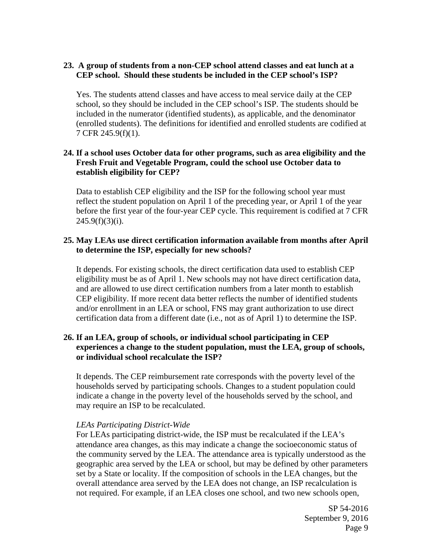## **23. A group of students from a non-CEP school attend classes and eat lunch at a CEP school. Should these students be included in the CEP school's ISP?**

Yes. The students attend classes and have access to meal service daily at the CEP school, so they should be included in the CEP school's ISP. The students should be included in the numerator (identified students), as applicable, and the denominator (enrolled students). The definitions for identified and enrolled students are codified at 7 CFR 245.9(f)(1).

# **24. If a school uses October data for other programs, such as area eligibility and the Fresh Fruit and Vegetable Program, could the school use October data to establish eligibility for CEP?**

Data to establish CEP eligibility and the ISP for the following school year must reflect the student population on April 1 of the preceding year, or April 1 of the year before the first year of the four-year CEP cycle. This requirement is codified at 7 CFR  $245.9(f)(3)(i)$ .

## **25. May LEAs use direct certification information available from months after April to determine the ISP, especially for new schools?**

It depends. For existing schools, the direct certification data used to establish CEP eligibility must be as of April 1. New schools may not have direct certification data, and are allowed to use direct certification numbers from a later month to establish CEP eligibility. If more recent data better reflects the number of identified students and/or enrollment in an LEA or school, FNS may grant authorization to use direct certification data from a different date (i.e., not as of April 1) to determine the ISP.

## **26. If an LEA, group of schools, or individual school participating in CEP experiences a change to the student population, must the LEA, group of schools, or individual school recalculate the ISP?**

It depends. The CEP reimbursement rate corresponds with the poverty level of the households served by participating schools. Changes to a student population could indicate a change in the poverty level of the households served by the school, and may require an ISP to be recalculated.

### *LEAs Participating District-Wide*

For LEAs participating district-wide, the ISP must be recalculated if the LEA's attendance area changes, as this may indicate a change the socioeconomic status of the community served by the LEA. The attendance area is typically understood as the geographic area served by the LEA or school, but may be defined by other parameters set by a State or locality. If the composition of schools in the LEA changes, but the overall attendance area served by the LEA does not change, an ISP recalculation is not required. For example, if an LEA closes one school, and two new schools open,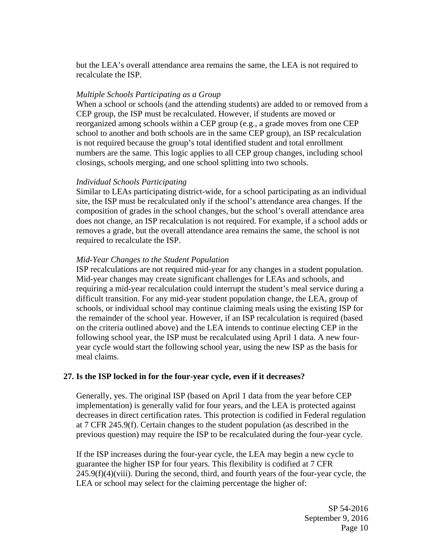but the LEA's overall attendance area remains the same, the LEA is not required to recalculate the ISP.

### *Multiple Schools Participating as a Group*

When a school or schools (and the attending students) are added to or removed from a CEP group, the ISP must be recalculated. However, if students are moved or reorganized among schools within a CEP group (e.g., a grade moves from one CEP school to another and both schools are in the same CEP group), an ISP recalculation is not required because the group's total identified student and total enrollment numbers are the same. This logic applies to all CEP group changes, including school closings, schools merging, and one school splitting into two schools.

### *Individual Schools Participating*

Similar to LEAs participating district-wide, for a school participating as an individual site, the ISP must be recalculated only if the school's attendance area changes. If the composition of grades in the school changes, but the school's overall attendance area does not change, an ISP recalculation is not required. For example, if a school adds or removes a grade, but the overall attendance area remains the same, the school is not required to recalculate the ISP.

### *Mid-Year Changes to the Student Population*

ISP recalculations are not required mid-year for any changes in a student population. Mid-year changes may create significant challenges for LEAs and schools, and requiring a mid-year recalculation could interrupt the student's meal service during a difficult transition. For any mid-year student population change, the LEA, group of schools, or individual school may continue claiming meals using the existing ISP for the remainder of the school year. However, if an ISP recalculation is required (based on the criteria outlined above) and the LEA intends to continue electing CEP in the following school year, the ISP must be recalculated using April 1 data. A new fouryear cycle would start the following school year, using the new ISP as the basis for meal claims.

#### **27. Is the ISP locked in for the four-year cycle, even if it decreases?**

Generally, yes. The original ISP (based on April 1 data from the year before CEP implementation) is generally valid for four years, and the LEA is protected against decreases in direct certification rates. This protection is codified in Federal regulation at 7 CFR 245.9(f). Certain changes to the student population (as described in the previous question) may require the ISP to be recalculated during the four-year cycle.

If the ISP increases during the four-year cycle, the LEA may begin a new cycle to guarantee the higher ISP for four years. This flexibility is codified at 7 CFR  $245.9(f)(4)(viii)$ . During the second, third, and fourth years of the four-year cycle, the LEA or school may select for the claiming percentage the higher of: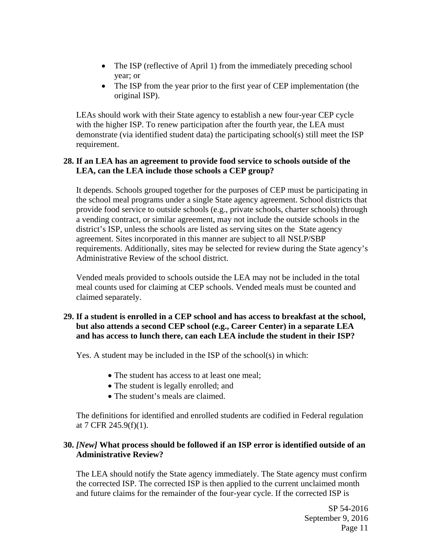- The ISP (reflective of April 1) from the immediately preceding school year; or
- The ISP from the year prior to the first year of CEP implementation (the original ISP).

LEAs should work with their State agency to establish a new four-year CEP cycle with the higher ISP. To renew participation after the fourth year, the LEA must demonstrate (via identified student data) the participating school(s) still meet the ISP requirement.

# **28. If an LEA has an agreement to provide food service to schools outside of the LEA, can the LEA include those schools a CEP group?**

It depends. Schools grouped together for the purposes of CEP must be participating in the school meal programs under a single State agency agreement. School districts that provide food service to outside schools (e.g., private schools, charter schools) through a vending contract, or similar agreement, may not include the outside schools in the district's ISP, unless the schools are listed as serving sites on the State agency agreement. Sites incorporated in this manner are subject to all NSLP/SBP requirements. Additionally, sites may be selected for review during the State agency's Administrative Review of the school district.

Vended meals provided to schools outside the LEA may not be included in the total meal counts used for claiming at CEP schools. Vended meals must be counted and claimed separately.

# **29. If a student is enrolled in a CEP school and has access to breakfast at the school, but also attends a second CEP school (e.g., Career Center) in a separate LEA and has access to lunch there, can each LEA include the student in their ISP?**

Yes. A student may be included in the ISP of the school(s) in which:

- The student has access to at least one meal;
- The student is legally enrolled; and
- The student's meals are claimed.

The definitions for identified and enrolled students are codified in Federal regulation at 7 CFR 245.9(f)(1).

# **30.** *[New]* **What process should be followed if an ISP error is identified outside of an Administrative Review?**

The LEA should notify the State agency immediately. The State agency must confirm the corrected ISP. The corrected ISP is then applied to the current unclaimed month and future claims for the remainder of the four-year cycle. If the corrected ISP is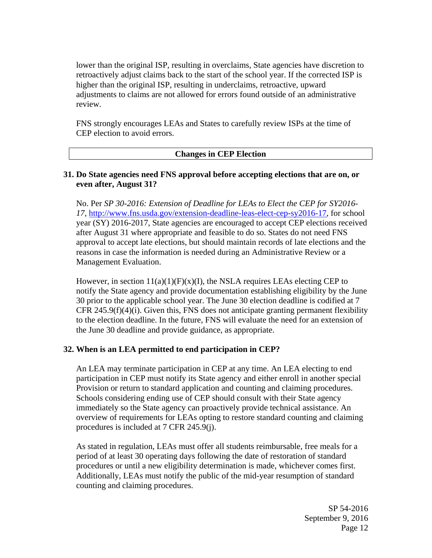lower than the original ISP, resulting in overclaims, State agencies have discretion to retroactively adjust claims back to the start of the school year. If the corrected ISP is higher than the original ISP, resulting in underclaims, retroactive, upward adjustments to claims are not allowed for errors found outside of an administrative review.

FNS strongly encourages LEAs and States to carefully review ISPs at the time of CEP election to avoid errors.

### **Changes in CEP Election**

## **31. Do State agencies need FNS approval before accepting elections that are on, or even after, August 31?**

No. Per *SP 30-2016: Extension of Deadline for LEAs to Elect the CEP for SY2016- 17*, http://www.fns.usda.gov/extension-deadline-leas-elect-cep-sy2016-17, for school year (SY) 2016-2017, State agencies are encouraged to accept CEP elections received after August 31 where appropriate and feasible to do so. States do not need FNS approval to accept late elections, but should maintain records of late elections and the reasons in case the information is needed during an Administrative Review or a Management Evaluation.

However, in section  $11(a)(1)(F)(x)(I)$ , the NSLA requires LEAs electing CEP to notify the State agency and provide documentation establishing eligibility by the June 30 prior to the applicable school year. The June 30 election deadline is codified at 7 CFR 245.9(f)(4)(i). Given this, FNS does not anticipate granting permanent flexibility to the election deadline. In the future, FNS will evaluate the need for an extension of the June 30 deadline and provide guidance, as appropriate.

### **32. When is an LEA permitted to end participation in CEP?**

An LEA may terminate participation in CEP at any time. An LEA electing to end participation in CEP must notify its State agency and either enroll in another special Provision or return to standard application and counting and claiming procedures. Schools considering ending use of CEP should consult with their State agency immediately so the State agency can proactively provide technical assistance. An overview of requirements for LEAs opting to restore standard counting and claiming procedures is included at 7 CFR 245.9(j).

As stated in regulation, LEAs must offer all students reimbursable, free meals for a period of at least 30 operating days following the date of restoration of standard procedures or until a new eligibility determination is made, whichever comes first. Additionally, LEAs must notify the public of the mid-year resumption of standard counting and claiming procedures.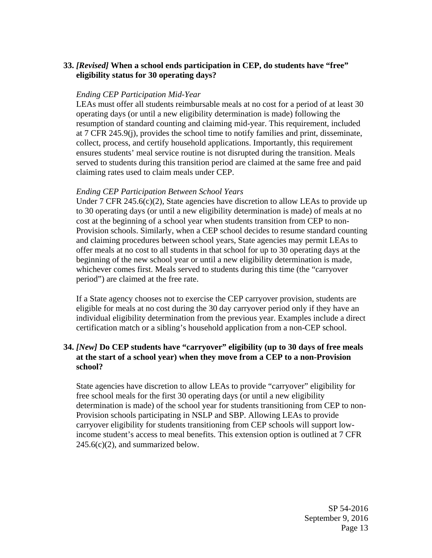# **33.** *[Revised]* **When a school ends participation in CEP, do students have "free" eligibility status for 30 operating days?**

### *Ending CEP Participation Mid-Year*

LEAs must offer all students reimbursable meals at no cost for a period of at least 30 operating days (or until a new eligibility determination is made) following the resumption of standard counting and claiming mid-year. This requirement, included at 7 CFR 245.9(j), provides the school time to notify families and print, disseminate, collect, process, and certify household applications. Importantly, this requirement ensures students' meal service routine is not disrupted during the transition. Meals served to students during this transition period are claimed at the same free and paid claiming rates used to claim meals under CEP.

### *Ending CEP Participation Between School Years*

Under 7 CFR 245.6(c)(2), State agencies have discretion to allow LEAs to provide up to 30 operating days (or until a new eligibility determination is made) of meals at no cost at the beginning of a school year when students transition from CEP to non-Provision schools. Similarly, when a CEP school decides to resume standard counting and claiming procedures between school years, State agencies may permit LEAs to offer meals at no cost to all students in that school for up to 30 operating days at the beginning of the new school year or until a new eligibility determination is made, whichever comes first. Meals served to students during this time (the "carryover period") are claimed at the free rate.

If a State agency chooses not to exercise the CEP carryover provision, students are eligible for meals at no cost during the 30 day carryover period only if they have an individual eligibility determination from the previous year. Examples include a direct certification match or a sibling's household application from a non-CEP school.

## **34.** *[New]* **Do CEP students have "carryover" eligibility (up to 30 days of free meals at the start of a school year) when they move from a CEP to a non-Provision school?**

State agencies have discretion to allow LEAs to provide "carryover" eligibility for free school meals for the first 30 operating days (or until a new eligibility determination is made) of the school year for students transitioning from CEP to non-Provision schools participating in NSLP and SBP. Allowing LEAs to provide carryover eligibility for students transitioning from CEP schools will support lowincome student's access to meal benefits. This extension option is outlined at 7 CFR  $245.6(c)(2)$ , and summarized below.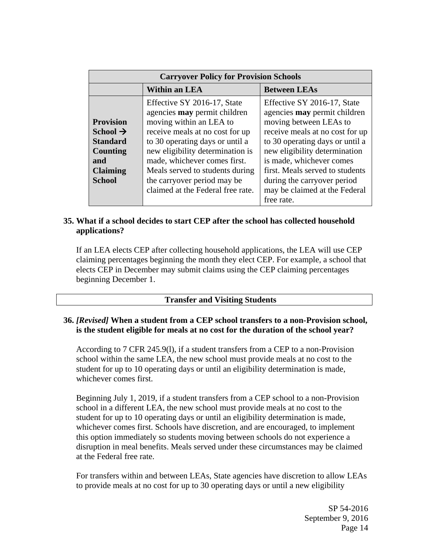| <b>Carryover Policy for Provision Schools</b>                                                                      |                                                                                                                                                                                                                                                                                                                                                |                                                                                                                                                                                                                                                                                                                                                  |  |  |  |  |
|--------------------------------------------------------------------------------------------------------------------|------------------------------------------------------------------------------------------------------------------------------------------------------------------------------------------------------------------------------------------------------------------------------------------------------------------------------------------------|--------------------------------------------------------------------------------------------------------------------------------------------------------------------------------------------------------------------------------------------------------------------------------------------------------------------------------------------------|--|--|--|--|
| <b>Within an LEA</b>                                                                                               |                                                                                                                                                                                                                                                                                                                                                | <b>Between LEAs</b>                                                                                                                                                                                                                                                                                                                              |  |  |  |  |
| <b>Provision</b><br>School $\rightarrow$<br><b>Standard</b><br>Counting<br>and<br><b>Claiming</b><br><b>School</b> | Effective SY 2016-17, State<br>agencies <b>may</b> permit children<br>moving within an LEA to<br>receive meals at no cost for up<br>to 30 operating days or until a<br>new eligibility determination is<br>made, whichever comes first.<br>Meals served to students during<br>the carryover period may be<br>claimed at the Federal free rate. | Effective SY 2016-17, State<br>agencies <b>may</b> permit children<br>moving between LEAs to<br>receive meals at no cost for up<br>to 30 operating days or until a<br>new eligibility determination<br>is made, whichever comes<br>first. Meals served to students<br>during the carryover period<br>may be claimed at the Federal<br>free rate. |  |  |  |  |

# **35. What if a school decides to start CEP after the school has collected household applications?**

If an LEA elects CEP after collecting household applications, the LEA will use CEP claiming percentages beginning the month they elect CEP. For example, a school that elects CEP in December may submit claims using the CEP claiming percentages beginning December 1.

### **Transfer and Visiting Students**

## **36.** *[Revised]* **When a student from a CEP school transfers to a non-Provision school, is the student eligible for meals at no cost for the duration of the school year?**

According to 7 CFR 245.9(l), if a student transfers from a CEP to a non-Provision school within the same LEA, the new school must provide meals at no cost to the student for up to 10 operating days or until an eligibility determination is made, whichever comes first.

Beginning July 1, 2019, if a student transfers from a CEP school to a non-Provision school in a different LEA, the new school must provide meals at no cost to the student for up to 10 operating days or until an eligibility determination is made, whichever comes first. Schools have discretion, and are encouraged, to implement this option immediately so students moving between schools do not experience a disruption in meal benefits. Meals served under these circumstances may be claimed at the Federal free rate.

For transfers within and between LEAs, State agencies have discretion to allow LEAs to provide meals at no cost for up to 30 operating days or until a new eligibility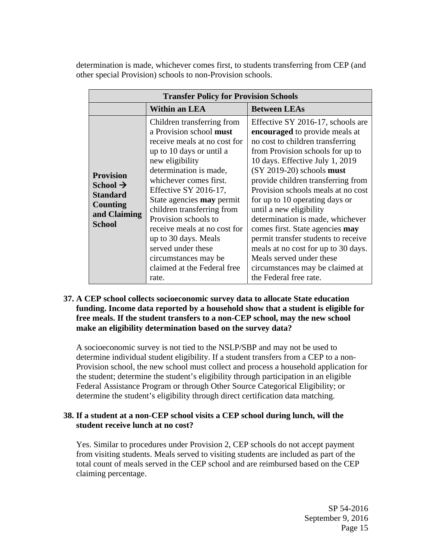determination is made, whichever comes first, to students transferring from CEP (and other special Provision) schools to non-Provision schools.

| <b>Transfer Policy for Provision Schools</b>                                                                    |                                                                                                                                                                                                                                                                                                                                                                                                                                                           |                                                                                                                                                                                                                                                                                                                                                                                                                                                                                                                                                                                                      |  |  |  |  |
|-----------------------------------------------------------------------------------------------------------------|-----------------------------------------------------------------------------------------------------------------------------------------------------------------------------------------------------------------------------------------------------------------------------------------------------------------------------------------------------------------------------------------------------------------------------------------------------------|------------------------------------------------------------------------------------------------------------------------------------------------------------------------------------------------------------------------------------------------------------------------------------------------------------------------------------------------------------------------------------------------------------------------------------------------------------------------------------------------------------------------------------------------------------------------------------------------------|--|--|--|--|
|                                                                                                                 | Within an LEA                                                                                                                                                                                                                                                                                                                                                                                                                                             | <b>Between LEAs</b>                                                                                                                                                                                                                                                                                                                                                                                                                                                                                                                                                                                  |  |  |  |  |
| <b>Provision</b><br>School $\rightarrow$<br><b>Standard</b><br><b>Counting</b><br>and Claiming<br><b>School</b> | Children transferring from<br>a Provision school must<br>receive meals at no cost for<br>up to 10 days or until a<br>new eligibility<br>determination is made,<br>whichever comes first.<br>Effective SY 2016-17,<br>State agencies <b>may</b> permit<br>children transferring from<br>Provision schools to<br>receive meals at no cost for<br>up to 30 days. Meals<br>served under these<br>circumstances may be<br>claimed at the Federal free<br>rate. | Effective SY 2016-17, schools are<br>encouraged to provide meals at<br>no cost to children transferring<br>from Provision schools for up to<br>10 days. Effective July 1, 2019<br>$(SY 2019-20)$ schools must<br>provide children transferring from<br>Provision schools meals at no cost<br>for up to 10 operating days or<br>until a new eligibility<br>determination is made, whichever<br>comes first. State agencies may<br>permit transfer students to receive<br>meals at no cost for up to 30 days.<br>Meals served under these<br>circumstances may be claimed at<br>the Federal free rate. |  |  |  |  |

## **37. A CEP school collects socioeconomic survey data to allocate State education funding. Income data reported by a household show that a student is eligible for free meals. If the student transfers to a non-CEP school, may the new school make an eligibility determination based on the survey data?**

A socioeconomic survey is not tied to the NSLP/SBP and may not be used to determine individual student eligibility. If a student transfers from a CEP to a non-Provision school, the new school must collect and process a household application for the student; determine the student's eligibility through participation in an eligible Federal Assistance Program or through Other Source Categorical Eligibility; or determine the student's eligibility through direct certification data matching.

## **38. If a student at a non-CEP school visits a CEP school during lunch, will the student receive lunch at no cost?**

Yes. Similar to procedures under Provision 2, CEP schools do not accept payment from visiting students. Meals served to visiting students are included as part of the total count of meals served in the CEP school and are reimbursed based on the CEP claiming percentage.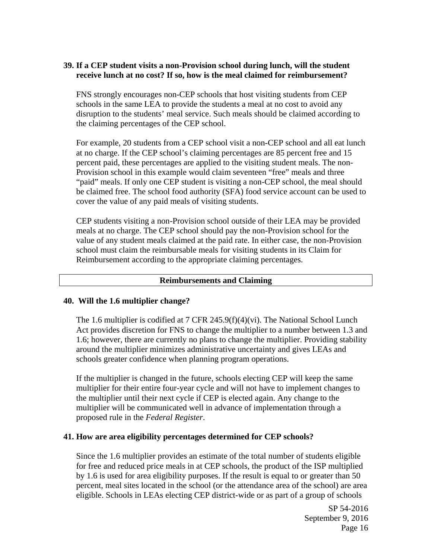## **39. If a CEP student visits a non-Provision school during lunch, will the student receive lunch at no cost? If so, how is the meal claimed for reimbursement?**

FNS strongly encourages non-CEP schools that host visiting students from CEP schools in the same LEA to provide the students a meal at no cost to avoid any disruption to the students' meal service. Such meals should be claimed according to the claiming percentages of the CEP school.

For example, 20 students from a CEP school visit a non-CEP school and all eat lunch at no charge. If the CEP school's claiming percentages are 85 percent free and 15 percent paid, these percentages are applied to the visiting student meals. The non-Provision school in this example would claim seventeen "free" meals and three "paid" meals. If only one CEP student is visiting a non-CEP school, the meal should be claimed free. The school food authority (SFA) food service account can be used to cover the value of any paid meals of visiting students.

CEP students visiting a non-Provision school outside of their LEA may be provided meals at no charge. The CEP school should pay the non-Provision school for the value of any student meals claimed at the paid rate. In either case, the non-Provision school must claim the reimbursable meals for visiting students in its Claim for Reimbursement according to the appropriate claiming percentages.

#### **Reimbursements and Claiming**

#### **40. Will the 1.6 multiplier change?**

The 1.6 multiplier is codified at 7 CFR 245.9(f)(4)(vi). The National School Lunch Act provides discretion for FNS to change the multiplier to a number between 1.3 and 1.6; however, there are currently no plans to change the multiplier. Providing stability around the multiplier minimizes administrative uncertainty and gives LEAs and schools greater confidence when planning program operations.

If the multiplier is changed in the future, schools electing CEP will keep the same multiplier for their entire four-year cycle and will not have to implement changes to the multiplier until their next cycle if CEP is elected again. Any change to the multiplier will be communicated well in advance of implementation through a proposed rule in the *Federal Register*.

#### **41. How are area eligibility percentages determined for CEP schools?**

Since the 1.6 multiplier provides an estimate of the total number of students eligible for free and reduced price meals in at CEP schools, the product of the ISP multiplied by 1.6 is used for area eligibility purposes. If the result is equal to or greater than 50 percent, meal sites located in the school (or the attendance area of the school) are area eligible. Schools in LEAs electing CEP district-wide or as part of a group of schools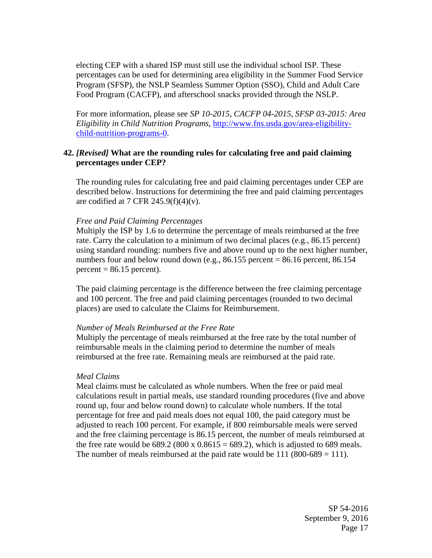electing CEP with a shared ISP must still use the individual school ISP. These percentages can be used for determining area eligibility in the Summer Food Service Program (SFSP), the NSLP Seamless Summer Option (SSO), Child and Adult Care Food Program (CACFP), and afterschool snacks provided through the NSLP.

For more information, please see *SP 10-2015, CACFP 04-2015, SFSP 03-2015: Area Eligibility in Child Nutrition Programs*, http://www.fns.usda.gov/area-eligibilitychild-nutrition-programs-0.

### **42.** *[Revised]* **What are the rounding rules for calculating free and paid claiming percentages under CEP?**

The rounding rules for calculating free and paid claiming percentages under CEP are described below. Instructions for determining the free and paid claiming percentages are codified at 7 CFR 245.9(f)(4)(v).

#### *Free and Paid Claiming Percentages*

Multiply the ISP by 1.6 to determine the percentage of meals reimbursed at the free rate. Carry the calculation to a minimum of two decimal places (e.g., 86.15 percent) using standard rounding: numbers five and above round up to the next higher number, numbers four and below round down (e.g.,  $86.155$  percent =  $86.16$  percent,  $86.154$  $percent = 86.15$  percent).

The paid claiming percentage is the difference between the free claiming percentage and 100 percent. The free and paid claiming percentages (rounded to two decimal places) are used to calculate the Claims for Reimbursement.

#### *Number of Meals Reimbursed at the Free Rate*

Multiply the percentage of meals reimbursed at the free rate by the total number of reimbursable meals in the claiming period to determine the number of meals reimbursed at the free rate. Remaining meals are reimbursed at the paid rate.

#### *Meal Claims*

Meal claims must be calculated as whole numbers. When the free or paid meal calculations result in partial meals, use standard rounding procedures (five and above round up, four and below round down) to calculate whole numbers. If the total percentage for free and paid meals does not equal 100, the paid category must be adjusted to reach 100 percent. For example, if 800 reimbursable meals were served and the free claiming percentage is 86.15 percent, the number of meals reimbursed at the free rate would be  $689.2 (800 \times 0.8615 = 689.2)$ , which is adjusted to 689 meals. The number of meals reimbursed at the paid rate would be  $111 (800-689 = 111)$ .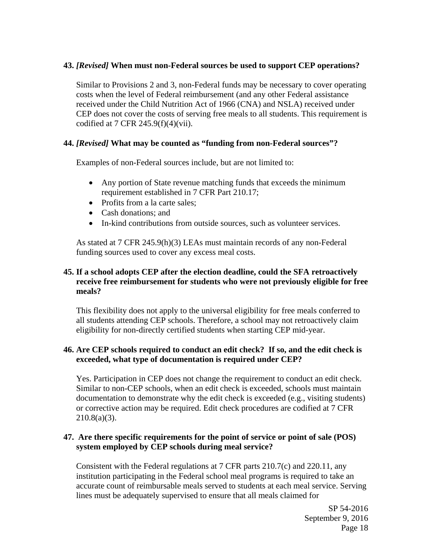## **43.** *[Revised]* **When must non-Federal sources be used to support CEP operations?**

Similar to Provisions 2 and 3, non-Federal funds may be necessary to cover operating costs when the level of Federal reimbursement (and any other Federal assistance received under the Child Nutrition Act of 1966 (CNA) and NSLA) received under CEP does not cover the costs of serving free meals to all students. This requirement is codified at 7 CFR  $245.9(f)(4)(vii)$ .

## **44.** *[Revised]* **What may be counted as "funding from non-Federal sources"?**

Examples of non-Federal sources include, but are not limited to:

- Any portion of State revenue matching funds that exceeds the minimum requirement established in 7 CFR Part 210.17;
- Profits from a la carte sales;
- Cash donations: and
- In-kind contributions from outside sources, such as volunteer services.

As stated at 7 CFR 245.9(h)(3) LEAs must maintain records of any non-Federal funding sources used to cover any excess meal costs.

# **45. If a school adopts CEP after the election deadline, could the SFA retroactively receive free reimbursement for students who were not previously eligible for free meals?**

This flexibility does not apply to the universal eligibility for free meals conferred to all students attending CEP schools. Therefore, a school may not retroactively claim eligibility for non-directly certified students when starting CEP mid-year.

## **46. Are CEP schools required to conduct an edit check? If so, and the edit check is exceeded, what type of documentation is required under CEP?**

Yes. Participation in CEP does not change the requirement to conduct an edit check. Similar to non-CEP schools, when an edit check is exceeded, schools must maintain documentation to demonstrate why the edit check is exceeded (e.g., visiting students) or corrective action may be required. Edit check procedures are codified at 7 CFR  $210.8(a)(3)$ .

## **47. Are there specific requirements for the point of service or point of sale (POS) system employed by CEP schools during meal service?**

Consistent with the Federal regulations at 7 CFR parts 210.7(c) and 220.11, any institution participating in the Federal school meal programs is required to take an accurate count of reimbursable meals served to students at each meal service. Serving lines must be adequately supervised to ensure that all meals claimed for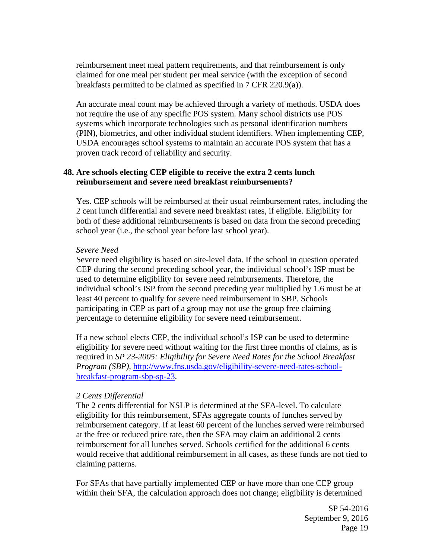reimbursement meet meal pattern requirements, and that reimbursement is only claimed for one meal per student per meal service (with the exception of second breakfasts permitted to be claimed as specified in 7 CFR 220.9(a)).

An accurate meal count may be achieved through a variety of methods. USDA does not require the use of any specific POS system. Many school districts use POS systems which incorporate technologies such as personal identification numbers (PIN), biometrics, and other individual student identifiers. When implementing CEP, USDA encourages school systems to maintain an accurate POS system that has a proven track record of reliability and security.

## **48. Are schools electing CEP eligible to receive the extra 2 cents lunch reimbursement and severe need breakfast reimbursements?**

Yes. CEP schools will be reimbursed at their usual reimbursement rates, including the 2 cent lunch differential and severe need breakfast rates, if eligible. Eligibility for both of these additional reimbursements is based on data from the second preceding school year (i.e., the school year before last school year).

### *Severe Need*

Severe need eligibility is based on site-level data. If the school in question operated CEP during the second preceding school year, the individual school's ISP must be used to determine eligibility for severe need reimbursements. Therefore, the individual school's ISP from the second preceding year multiplied by 1.6 must be at least 40 percent to qualify for severe need reimbursement in SBP. Schools participating in CEP as part of a group may not use the group free claiming percentage to determine eligibility for severe need reimbursement.

If a new school elects CEP, the individual school's ISP can be used to determine eligibility for severe need without waiting for the first three months of claims, as is required in *SP 23-2005: Eligibility for Severe Need Rates for the School Breakfast Program (SBP),* http://www.fns.usda.gov/eligibility-severe-need-rates-schoolbreakfast-program-sbp-sp-23.

# *2 Cents Differential*

The 2 cents differential for NSLP is determined at the SFA-level. To calculate eligibility for this reimbursement, SFAs aggregate counts of lunches served by reimbursement category. If at least 60 percent of the lunches served were reimbursed at the free or reduced price rate, then the SFA may claim an additional 2 cents reimbursement for all lunches served. Schools certified for the additional 6 cents would receive that additional reimbursement in all cases, as these funds are not tied to claiming patterns.

For SFAs that have partially implemented CEP or have more than one CEP group within their SFA, the calculation approach does not change; eligibility is determined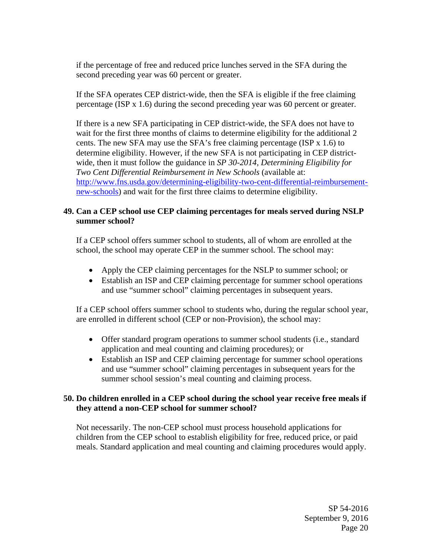if the percentage of free and reduced price lunches served in the SFA during the second preceding year was 60 percent or greater.

If the SFA operates CEP district-wide, then the SFA is eligible if the free claiming percentage (ISP x 1.6) during the second preceding year was 60 percent or greater.

If there is a new SFA participating in CEP district-wide, the SFA does not have to wait for the first three months of claims to determine eligibility for the additional 2 cents. The new SFA may use the SFA's free claiming percentage (ISP  $x$  1.6) to determine eligibility. However, if the new SFA is not participating in CEP districtwide, then it must follow the guidance in *SP 30-2014, Determining Eligibility for Two Cent Differential Reimbursement in New Schools* (available at: http://www.fns.usda.gov/determining-eligibility-two-cent-differential-reimbursementnew-schools) and wait for the first three claims to determine eligibility.

# **49. Can a CEP school use CEP claiming percentages for meals served during NSLP summer school?**

If a CEP school offers summer school to students, all of whom are enrolled at the school, the school may operate CEP in the summer school. The school may:

- Apply the CEP claiming percentages for the NSLP to summer school; or
- Establish an ISP and CEP claiming percentage for summer school operations and use "summer school" claiming percentages in subsequent years.

If a CEP school offers summer school to students who, during the regular school year, are enrolled in different school (CEP or non-Provision), the school may:

- Offer standard program operations to summer school students (i.e., standard application and meal counting and claiming procedures); or
- Establish an ISP and CEP claiming percentage for summer school operations and use "summer school" claiming percentages in subsequent years for the summer school session's meal counting and claiming process.

### **50. Do children enrolled in a CEP school during the school year receive free meals if they attend a non-CEP school for summer school?**

Not necessarily. The non-CEP school must process household applications for children from the CEP school to establish eligibility for free, reduced price, or paid meals. Standard application and meal counting and claiming procedures would apply.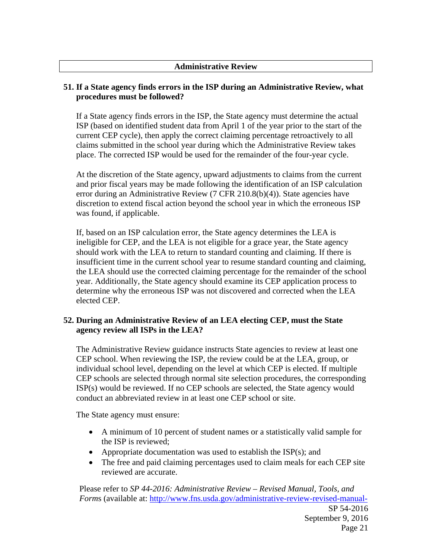### **Administrative Review**

# **51. If a State agency finds errors in the ISP during an Administrative Review, what procedures must be followed?**

If a State agency finds errors in the ISP, the State agency must determine the actual ISP (based on identified student data from April 1 of the year prior to the start of the current CEP cycle), then apply the correct claiming percentage retroactively to all claims submitted in the school year during which the Administrative Review takes place. The corrected ISP would be used for the remainder of the four-year cycle.

At the discretion of the State agency, upward adjustments to claims from the current and prior fiscal years may be made following the identification of an ISP calculation error during an Administrative Review (7 CFR 210.8(b)(4)). State agencies have discretion to extend fiscal action beyond the school year in which the erroneous ISP was found, if applicable.

If, based on an ISP calculation error, the State agency determines the LEA is ineligible for CEP, and the LEA is not eligible for a grace year, the State agency should work with the LEA to return to standard counting and claiming. If there is insufficient time in the current school year to resume standard counting and claiming, the LEA should use the corrected claiming percentage for the remainder of the school year. Additionally, the State agency should examine its CEP application process to determine why the erroneous ISP was not discovered and corrected when the LEA elected CEP.

# **52. During an Administrative Review of an LEA electing CEP, must the State agency review all ISPs in the LEA?**

The Administrative Review guidance instructs State agencies to review at least one CEP school. When reviewing the ISP, the review could be at the LEA, group, or individual school level, depending on the level at which CEP is elected. If multiple CEP schools are selected through normal site selection procedures, the corresponding ISP(s) would be reviewed. If no CEP schools are selected, the State agency would conduct an abbreviated review in at least one CEP school or site.

The State agency must ensure:

- A minimum of 10 percent of student names or a statistically valid sample for the ISP is reviewed;
- Appropriate documentation was used to establish the  $ISP(s)$ ; and
- The free and paid claiming percentages used to claim meals for each CEP site reviewed are accurate.

Please refer to *SP 44-2016: Administrative Review – Revised Manual, Tools, and Forms* (available at: http://www.fns.usda.gov/administrative-review-revised-manual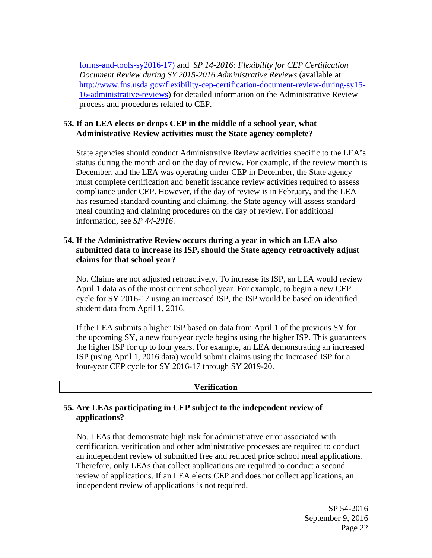forms-and-tools-sy2016-17) and *SP 14-2016: Flexibility for CEP Certification Document Review during SY 2015-2016 Administrative Reviews* (available at: http://www.fns.usda.gov/flexibility-cep-certification-document-review-during-sy15- 16-administrative-reviews) for detailed information on the Administrative Review process and procedures related to CEP.

# **53. If an LEA elects or drops CEP in the middle of a school year, what Administrative Review activities must the State agency complete?**

State agencies should conduct Administrative Review activities specific to the LEA's status during the month and on the day of review. For example, if the review month is December, and the LEA was operating under CEP in December, the State agency must complete certification and benefit issuance review activities required to assess compliance under CEP. However, if the day of review is in February, and the LEA has resumed standard counting and claiming, the State agency will assess standard meal counting and claiming procedures on the day of review. For additional information, see *SP 44-2016*.

# **54. If the Administrative Review occurs during a year in which an LEA also submitted data to increase its ISP, should the State agency retroactively adjust claims for that school year?**

No. Claims are not adjusted retroactively. To increase its ISP, an LEA would review April 1 data as of the most current school year. For example, to begin a new CEP cycle for SY 2016-17 using an increased ISP, the ISP would be based on identified student data from April 1, 2016.

If the LEA submits a higher ISP based on data from April 1 of the previous SY for the upcoming SY, a new four-year cycle begins using the higher ISP. This guarantees the higher ISP for up to four years. For example, an LEA demonstrating an increased ISP (using April 1, 2016 data) would submit claims using the increased ISP for a four-year CEP cycle for SY 2016-17 through SY 2019-20.

### **Verification**

# **55. Are LEAs participating in CEP subject to the independent review of applications?**

No. LEAs that demonstrate high risk for administrative error associated with certification, verification and other administrative processes are required to conduct an independent review of submitted free and reduced price school meal applications. Therefore, only LEAs that collect applications are required to conduct a second review of applications. If an LEA elects CEP and does not collect applications, an independent review of applications is not required.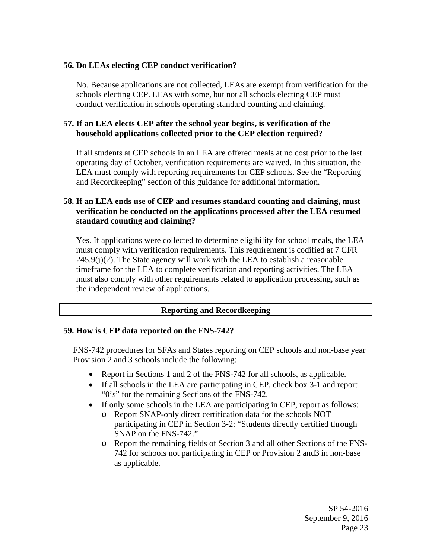# **56. Do LEAs electing CEP conduct verification?**

No. Because applications are not collected, LEAs are exempt from verification for the schools electing CEP. LEAs with some, but not all schools electing CEP must conduct verification in schools operating standard counting and claiming.

# **57. If an LEA elects CEP after the school year begins, is verification of the household applications collected prior to the CEP election required?**

If all students at CEP schools in an LEA are offered meals at no cost prior to the last operating day of October, verification requirements are waived. In this situation, the LEA must comply with reporting requirements for CEP schools. See the "Reporting and Recordkeeping" section of this guidance for additional information.

# **58. If an LEA ends use of CEP and resumes standard counting and claiming, must verification be conducted on the applications processed after the LEA resumed standard counting and claiming?**

Yes. If applications were collected to determine eligibility for school meals, the LEA must comply with verification requirements. This requirement is codified at 7 CFR  $245.9(i)(2)$ . The State agency will work with the LEA to establish a reasonable timeframe for the LEA to complete verification and reporting activities. The LEA must also comply with other requirements related to application processing, such as the independent review of applications.

# **Reporting and Recordkeeping**

### **59. How is CEP data reported on the FNS-742?**

FNS-742 procedures for SFAs and States reporting on CEP schools and non-base year Provision 2 and 3 schools include the following:

- Report in Sections 1 and 2 of the FNS-742 for all schools, as applicable.
- If all schools in the LEA are participating in CEP, check box 3-1 and report "0's" for the remaining Sections of the FNS-742.
- If only some schools in the LEA are participating in CEP, report as follows:
	- o Report SNAP-only direct certification data for the schools NOT participating in CEP in Section 3-2: "Students directly certified through SNAP on the FNS-742."
	- o Report the remaining fields of Section 3 and all other Sections of the FNS-742 for schools not participating in CEP or Provision 2 and3 in non-base as applicable.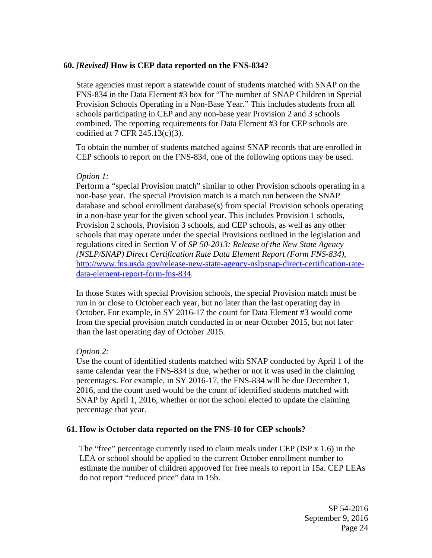## **60.** *[Revised]* **How is CEP data reported on the FNS-834?**

State agencies must report a statewide count of students matched with SNAP on the FNS-834 in the Data Element #3 box for "The number of SNAP Children in Special Provision Schools Operating in a Non-Base Year." This includes students from all schools participating in CEP and any non-base year Provision 2 and 3 schools combined. The reporting requirements for Data Element #3 for CEP schools are codified at 7 CFR 245.13(c)(3).

To obtain the number of students matched against SNAP records that are enrolled in CEP schools to report on the FNS-834, one of the following options may be used.

### *Option 1:*

Perform a "special Provision match" similar to other Provision schools operating in a non-base year. The special Provision match is a match run between the SNAP database and school enrollment database(s) from special Provision schools operating in a non-base year for the given school year. This includes Provision 1 schools, Provision 2 schools, Provision 3 schools, and CEP schools, as well as any other schools that may operate under the special Provisions outlined in the legislation and regulations cited in Section V of *SP 50-2013: Release of the New State Agency (NSLP/SNAP) Direct Certification Rate Data Element Report (Form FNS-834),* http://www.fns.usda.gov/release-new-state-agency-nslpsnap-direct-certification-ratedata-element-report-form-fns-834.

In those States with special Provision schools, the special Provision match must be run in or close to October each year, but no later than the last operating day in October. For example, in SY 2016-17 the count for Data Element #3 would come from the special provision match conducted in or near October 2015, but not later than the last operating day of October 2015.

### *Option 2:*

Use the count of identified students matched with SNAP conducted by April 1 of the same calendar year the FNS-834 is due, whether or not it was used in the claiming percentages. For example, in SY 2016-17, the FNS-834 will be due December 1, 2016, and the count used would be the count of identified students matched with SNAP by April 1, 2016, whether or not the school elected to update the claiming percentage that year.

### **61. How is October data reported on the FNS-10 for CEP schools?**

The "free" percentage currently used to claim meals under CEP (ISP x 1.6) in the LEA or school should be applied to the current October enrollment number to estimate the number of children approved for free meals to report in 15a. CEP LEAs do not report "reduced price" data in 15b.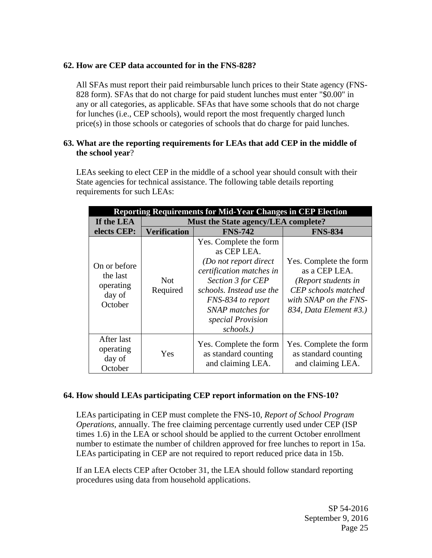# **62. How are CEP data accounted for in the FNS-828?**

All SFAs must report their paid reimbursable lunch prices to their State agency (FNS-828 form). SFAs that do not charge for paid student lunches must enter "\$0.00" in any or all categories, as applicable. SFAs that have some schools that do not charge for lunches (i.e., CEP schools), would report the most frequently charged lunch price(s) in those schools or categories of schools that do charge for paid lunches.

## **63. What are the reporting requirements for LEAs that add CEP in the middle of the school year**?

LEAs seeking to elect CEP in the middle of a school year should consult with their State agencies for technical assistance. The following table details reporting requirements for such LEAs:

| <b>Reporting Requirements for Mid-Year Changes in CEP Election</b> |                                     |                                                                                                                                                                                                                        |                                                                                                                                          |  |  |  |  |
|--------------------------------------------------------------------|-------------------------------------|------------------------------------------------------------------------------------------------------------------------------------------------------------------------------------------------------------------------|------------------------------------------------------------------------------------------------------------------------------------------|--|--|--|--|
| If the LEA                                                         | Must the State agency/LEA complete? |                                                                                                                                                                                                                        |                                                                                                                                          |  |  |  |  |
| elects CEP:                                                        | <b>Verification</b>                 | <b>FNS-742</b>                                                                                                                                                                                                         | <b>FNS-834</b>                                                                                                                           |  |  |  |  |
| On or before<br>the last<br>operating<br>day of<br>October         | <b>Not</b><br>Required              | Yes. Complete the form<br>as CEP LEA.<br>(Do not report direct<br>certification matches in<br>Section 3 for CEP<br>schools. Instead use the<br>FNS-834 to report<br>SNAP matches for<br>special Provision<br>schools.) | Yes. Complete the form<br>as a CEP LEA.<br>(Report students in<br>CEP schools matched<br>with SNAP on the FNS-<br>834, Data Element #3.) |  |  |  |  |
| After last<br>operating<br>day of<br>October                       | Yes                                 | Yes. Complete the form<br>as standard counting<br>and claiming LEA.                                                                                                                                                    | Yes. Complete the form<br>as standard counting<br>and claiming LEA.                                                                      |  |  |  |  |

# **64. How should LEAs participating CEP report information on the FNS-10?**

LEAs participating in CEP must complete the FNS-10, *Report of School Program Operations*, annually. The free claiming percentage currently used under CEP (ISP times 1.6) in the LEA or school should be applied to the current October enrollment number to estimate the number of children approved for free lunches to report in 15a. LEAs participating in CEP are not required to report reduced price data in 15b.

If an LEA elects CEP after October 31, the LEA should follow standard reporting procedures using data from household applications.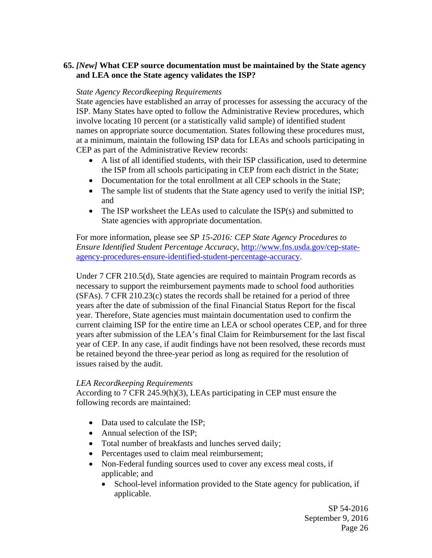# **65.** *[New]* **What CEP source documentation must be maintained by the State agency and LEA once the State agency validates the ISP?**

### *State Agency Recordkeeping Requirements*

State agencies have established an array of processes for assessing the accuracy of the ISP. Many States have opted to follow the Administrative Review procedures, which involve locating 10 percent (or a statistically valid sample) of identified student names on appropriate source documentation. States following these procedures must, at a minimum, maintain the following ISP data for LEAs and schools participating in CEP as part of the Administrative Review records:

- A list of all identified students, with their ISP classification, used to determine the ISP from all schools participating in CEP from each district in the State;
- Documentation for the total enrollment at all CEP schools in the State:
- The sample list of students that the State agency used to verify the initial ISP; and
- The ISP worksheet the LEAs used to calculate the ISP(s) and submitted to State agencies with appropriate documentation.

For more information, please see *SP 15-2016: CEP State Agency Procedures to Ensure Identified Student Percentage Accuracy*, http://www.fns.usda.gov/cep-stateagency-procedures-ensure-identified-student-percentage-accuracy.

Under 7 CFR 210.5(d), State agencies are required to maintain Program records as necessary to support the reimbursement payments made to school food authorities (SFAs). 7 CFR 210.23(c) states the records shall be retained for a period of three years after the date of submission of the final Financial Status Report for the fiscal year. Therefore, State agencies must maintain documentation used to confirm the current claiming ISP for the entire time an LEA or school operates CEP, and for three years after submission of the LEA's final Claim for Reimbursement for the last fiscal year of CEP. In any case, if audit findings have not been resolved, these records must be retained beyond the three-year period as long as required for the resolution of issues raised by the audit.

### *LEA Recordkeeping Requirements*

According to 7 CFR 245.9(h)(3), LEAs participating in CEP must ensure the following records are maintained:

- Data used to calculate the ISP;
- Annual selection of the ISP;
- Total number of breakfasts and lunches served daily;
- Percentages used to claim meal reimbursement;
- Non-Federal funding sources used to cover any excess meal costs, if applicable; and
	- School-level information provided to the State agency for publication, if applicable.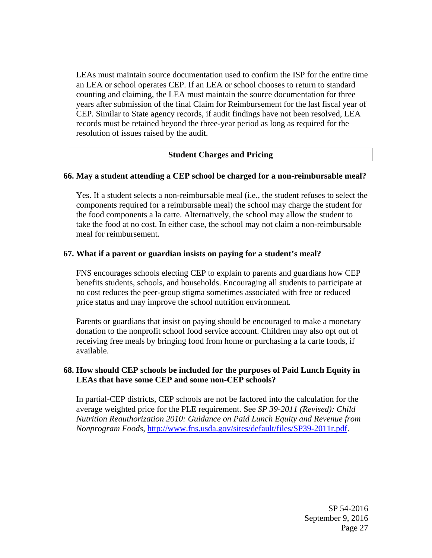LEAs must maintain source documentation used to confirm the ISP for the entire time an LEA or school operates CEP. If an LEA or school chooses to return to standard counting and claiming, the LEA must maintain the source documentation for three years after submission of the final Claim for Reimbursement for the last fiscal year of CEP. Similar to State agency records, if audit findings have not been resolved, LEA records must be retained beyond the three-year period as long as required for the resolution of issues raised by the audit.

### **Student Charges and Pricing**

### **66. May a student attending a CEP school be charged for a non-reimbursable meal?**

Yes. If a student selects a non-reimbursable meal (i.e., the student refuses to select the components required for a reimbursable meal) the school may charge the student for the food components a la carte. Alternatively, the school may allow the student to take the food at no cost. In either case, the school may not claim a non-reimbursable meal for reimbursement.

#### **67. What if a parent or guardian insists on paying for a student's meal?**

FNS encourages schools electing CEP to explain to parents and guardians how CEP benefits students, schools, and households. Encouraging all students to participate at no cost reduces the peer-group stigma sometimes associated with free or reduced price status and may improve the school nutrition environment.

Parents or guardians that insist on paying should be encouraged to make a monetary donation to the nonprofit school food service account. Children may also opt out of receiving free meals by bringing food from home or purchasing a la carte foods, if available.

### **68. How should CEP schools be included for the purposes of Paid Lunch Equity in LEAs that have some CEP and some non-CEP schools?**

In partial-CEP districts, CEP schools are not be factored into the calculation for the average weighted price for the PLE requirement. See *SP 39-2011 (Revised): Child Nutrition Reauthorization 2010: Guidance on Paid Lunch Equity and Revenue from Nonprogram Foods*, http://www.fns.usda.gov/sites/default/files/SP39-2011r.pdf.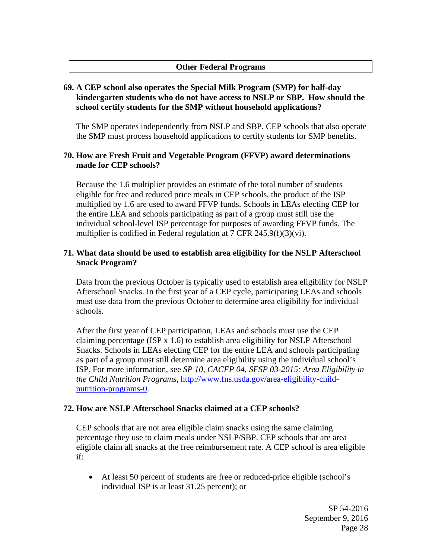## **Other Federal Programs**

# **69. A CEP school also operates the Special Milk Program (SMP) for half-day kindergarten students who do not have access to NSLP or SBP. How should the school certify students for the SMP without household applications?**

The SMP operates independently from NSLP and SBP. CEP schools that also operate the SMP must process household applications to certify students for SMP benefits.

## **70. How are Fresh Fruit and Vegetable Program (FFVP) award determinations made for CEP schools?**

Because the 1.6 multiplier provides an estimate of the total number of students eligible for free and reduced price meals in CEP schools, the product of the ISP multiplied by 1.6 are used to award FFVP funds. Schools in LEAs electing CEP for the entire LEA and schools participating as part of a group must still use the individual school-level ISP percentage for purposes of awarding FFVP funds. The multiplier is codified in Federal regulation at 7 CFR 245.9(f)(3)(vi).

## **71. What data should be used to establish area eligibility for the NSLP Afterschool Snack Program?**

Data from the previous October is typically used to establish area eligibility for NSLP Afterschool Snacks. In the first year of a CEP cycle, participating LEAs and schools must use data from the previous October to determine area eligibility for individual schools.

After the first year of CEP participation, LEAs and schools must use the CEP claiming percentage (ISP x 1.6) to establish area eligibility for NSLP Afterschool Snacks. Schools in LEAs electing CEP for the entire LEA and schools participating as part of a group must still determine area eligibility using the individual school's ISP. For more information, see *SP 10, CACFP 04, SFSP 03-2015: Area Eligibility in the Child Nutrition Programs*, http://www.fns.usda.gov/area-eligibility-childnutrition-programs-0.

# **72. How are NSLP Afterschool Snacks claimed at a CEP schools?**

CEP schools that are not area eligible claim snacks using the same claiming percentage they use to claim meals under NSLP/SBP. CEP schools that are area eligible claim all snacks at the free reimbursement rate. A CEP school is area eligible if:

 At least 50 percent of students are free or reduced-price eligible (school's individual ISP is at least 31.25 percent); or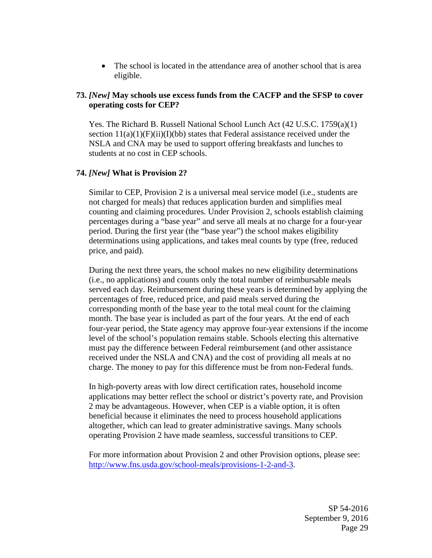• The school is located in the attendance area of another school that is area eligible.

# **73.** *[New]* **May schools use excess funds from the CACFP and the SFSP to cover operating costs for CEP?**

Yes. The Richard B. Russell National School Lunch Act (42 U.S.C. 1759(a)(1) section  $11(a)(1)(F)(ii)(I)(bb)$  states that Federal assistance received under the NSLA and CNA may be used to support offering breakfasts and lunches to students at no cost in CEP schools.

## **74.** *[New]* **What is Provision 2?**

Similar to CEP, Provision 2 is a universal meal service model (i.e., students are not charged for meals) that reduces application burden and simplifies meal counting and claiming procedures. Under Provision 2, schools establish claiming percentages during a "base year" and serve all meals at no charge for a four-year period. During the first year (the "base year") the school makes eligibility determinations using applications, and takes meal counts by type (free, reduced price, and paid).

During the next three years, the school makes no new eligibility determinations (i.e., no applications) and counts only the total number of reimbursable meals served each day. Reimbursement during these years is determined by applying the percentages of free, reduced price, and paid meals served during the corresponding month of the base year to the total meal count for the claiming month. The base year is included as part of the four years. At the end of each four-year period, the State agency may approve four-year extensions if the income level of the school's population remains stable. Schools electing this alternative must pay the difference between Federal reimbursement (and other assistance received under the NSLA and CNA) and the cost of providing all meals at no charge. The money to pay for this difference must be from non-Federal funds.

In high-poverty areas with low direct certification rates, household income applications may better reflect the school or district's poverty rate, and Provision 2 may be advantageous. However, when CEP is a viable option, it is often beneficial because it eliminates the need to process household applications altogether, which can lead to greater administrative savings. Many schools operating Provision 2 have made seamless, successful transitions to CEP.

For more information about Provision 2 and other Provision options, please see: http://www.fns.usda.gov/school-meals/provisions-1-2-and-3.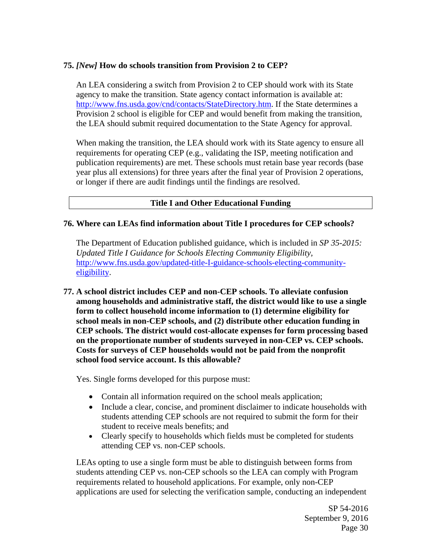# **75.** *[New]* **How do schools transition from Provision 2 to CEP?**

An LEA considering a switch from Provision 2 to CEP should work with its State agency to make the transition. State agency contact information is available at: http://www.fns.usda.gov/cnd/contacts/StateDirectory.htm. If the State determines a Provision 2 school is eligible for CEP and would benefit from making the transition, the LEA should submit required documentation to the State Agency for approval.

When making the transition, the LEA should work with its State agency to ensure all requirements for operating CEP (e.g., validating the ISP, meeting notification and publication requirements) are met. These schools must retain base year records (base year plus all extensions) for three years after the final year of Provision 2 operations, or longer if there are audit findings until the findings are resolved.

# **Title I and Other Educational Funding**

## **76. Where can LEAs find information about Title I procedures for CEP schools?**

The Department of Education published guidance, which is included in *SP 35-2015: Updated Title I Guidance for Schools Electing Community Eligibility,*  http://www.fns.usda.gov/updated-title-I-guidance-schools-electing-communityeligibility.

**77. A school district includes CEP and non-CEP schools. To alleviate confusion among households and administrative staff, the district would like to use a single form to collect household income information to (1) determine eligibility for school meals in non-CEP schools, and (2) distribute other education funding in CEP schools. The district would cost-allocate expenses for form processing based on the proportionate number of students surveyed in non-CEP vs. CEP schools. Costs for surveys of CEP households would not be paid from the nonprofit school food service account. Is this allowable?** 

Yes. Single forms developed for this purpose must:

- Contain all information required on the school meals application;
- Include a clear, concise, and prominent disclaimer to indicate households with students attending CEP schools are not required to submit the form for their student to receive meals benefits; and
- Clearly specify to households which fields must be completed for students attending CEP vs. non-CEP schools.

LEAs opting to use a single form must be able to distinguish between forms from students attending CEP vs. non-CEP schools so the LEA can comply with Program requirements related to household applications. For example, only non-CEP applications are used for selecting the verification sample, conducting an independent